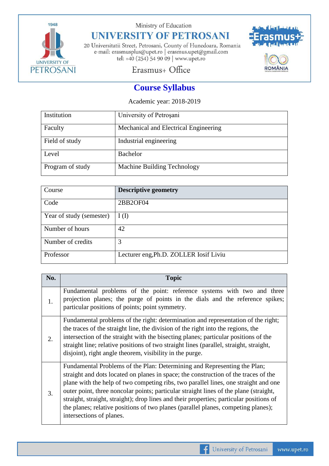

Ministry of Education

# **UNIVERSITY OF PETROSANI**

20 Universitatii Street, Petrosani, County of Hunedoara, Romania e-mail: erasmusplus@upet.ro $\mid$ erasmus.upet@gmail.com tel: +40 (254) 54 90 09 | www.upet.ro



## Erasmus+ Office

## **Course Syllabus**

Academic year: 2018-2019

| Institution      | University of Petrosani               |
|------------------|---------------------------------------|
| Faculty          | Mechanical and Electrical Engineering |
| Field of study   | Industrial engineering                |
| Level            | Bachelor                              |
| Program of study | Machine Building Technology           |

| Course                   | <b>Descriptive geometry</b>            |
|--------------------------|----------------------------------------|
| Code                     | 2BB2OF04                               |
| Year of study (semester) | I(I)                                   |
| Number of hours          | 42                                     |
| Number of credits        | 3                                      |
| Professor                | Lecturer eng, Ph.D. ZOLLER Iosif Liviu |

| No.                    | <b>Topic</b>                                                                                                                                                                                                                                                                                                                                                                                                                                                                                                                                                |
|------------------------|-------------------------------------------------------------------------------------------------------------------------------------------------------------------------------------------------------------------------------------------------------------------------------------------------------------------------------------------------------------------------------------------------------------------------------------------------------------------------------------------------------------------------------------------------------------|
| 1.                     | Fundamental problems of the point: reference systems with two and three<br>projection planes; the purge of points in the dials and the reference spikes;<br>particular positions of points; point symmetry.                                                                                                                                                                                                                                                                                                                                                 |
| $\mathcal{D}_{\alpha}$ | Fundamental problems of the right: determination and representation of the right;<br>the traces of the straight line, the division of the right into the regions, the<br>intersection of the straight with the bisecting planes; particular positions of the<br>straight line; relative positions of two straight lines (parallel, straight, straight,<br>disjoint), right angle theorem, visibility in the purge.                                                                                                                                          |
| 3.                     | Fundamental Problems of the Plan: Determining and Representing the Plan;<br>straight and dots located on planes in space; the construction of the traces of the<br>plane with the help of two competing ribs, two parallel lines, one straight and one<br>outer point, three noncolar points; particular straight lines of the plane (straight,<br>straight, straight, straight); drop lines and their properties; particular positions of<br>the planes; relative positions of two planes (parallel planes, competing planes);<br>intersections of planes. |